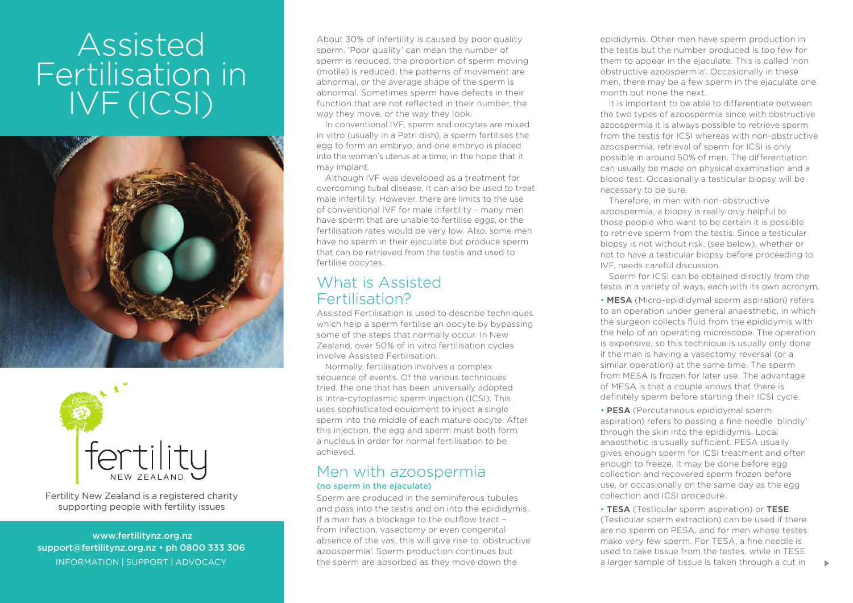# Assisted Fertilisation in IVF (ICSI)





Fertility New Zealand is a registered charity supporting people with fertility issues

 www.fertilitynz.org.nz support@fertilitynz.org.nz • ph 0800 333 306 About 30% of infertility is caused by poor quality sperm. 'Poor quality' can mean the number of sperm is reduced, the proportion of sperm moving (motile) is reduced, the patterns of movement are abnormal, or the average shape of the sperm is abnormal. Sometimes sperm have defects in their function that are not reflected in their number, the way they move, or the way they look.

In conventional IVF, sperm and oocytes are mixed in vitro (usually in a Petri dish), a sperm fertilises the egg to form an embryo, and one embryo is placed into the woman's uterus at a time, in the hope that it may implant.

Although IVF was developed as a treatment for overcoming tubal disease, it can also be used to treat male infertility. However, there are limits to the use of conventional IVF for male infertility – many men have sperm that are unable to fertilise eggs, or the fertilisation rates would be very low. Also, some men have no sperm in their ejaculate but produce sperm that can be retrieved from the testis and used to fertilise oocytes.

### What is Assisted Fertilisation?

Assisted Fertilisation is used to describe techniques which help a sperm fertilise an oocyte by bypassing some of the steps that normally occur. In New Zealand, over 50% of in vitro fertilisation cycles involve Assisted Fertilisation.

Normally, fertilisation involves a complex sequence of events. Of the various techniques tried, the one that has been universally adopted is Intra-cytoplasmic sperm injection (ICSI). This uses sophisticated equipment to inject a single sperm into the middle of each mature oocyte. After this injection, the egg and sperm must both form a nucleus in order for normal fertilisation to be achieved.

#### Men with azoospermia (no sperm in the ejaculate)

INFORMATION | SUPPORT | ADVOCACY **30 The STATION Advanced** as they move down the sperm are absorbed as they move down the sample of tissue is taken through a cut in Sperm are produced in the seminiferous tubules and pass into the testis and on into the epididymis. If a man has a blockage to the outflow tract – from infection, vasectomy or even congenital absence of the vas, this will give rise to 'obstructive azoospermia'. Sperm production continues but the sperm are absorbed as they move down the

epididymis. Other men have sperm production in the testis but the number produced is too few for them to appear in the ejaculate. This is called 'non obstructive azoospermia'. Occasionally in these men, there may be a few sperm in the ejaculate one month but none the next.

It is important to be able to differentiate between the two types of azoospermia since with obstructive azoospermia it is always possible to retrieve sperm from the testis for ICSI whereas with non-obstructive azoospermia, retrieval of sperm for ICSI is only possible in around 50% of men. The differentiation can usually be made on physical examination and a blood test. Occasionally a testicular biopsy will be necessary to be sure.

Therefore, in men with non-obstructive azoospermia, a biopsy is really only helpful to those people who want to be certain it is possible to retrieve sperm from the testis. Since a testicular biopsy is not without risk, (see below), whether or not to have a testicular biopsy before proceeding to IVF, needs careful discussion.

Sperm for ICSI can be obtained directly from the testis in a variety of ways, each with its own acronym.

• MESA (Micro-epididymal sperm aspiration) refers to an operation under general anaesthetic, in which the surgeon collects fluid from the epididymis with the help of an operating microscope. The operation is expensive, so this technique is usually only done if the man is having a vasectomy reversal (or a similar operation) at the same time. The sperm from MESA is frozen for later use. The advantage of MESA is that a couple knows that there is definitely sperm before starting their ICSI cycle.

• PESA (Percutaneous epididymal sperm aspiration) refers to passing a fine needle 'blindly' through the skin into the epididymis. Local anaesthetic is usually sufficient. PESA usually gives enough sperm for ICSI treatment and often enough to freeze. It may be done before egg collection and recovered sperm frozen before use, or occasionally on the same day as the egg collection and ICSI procedure.

• TESA (Testicular sperm aspiration) or TESE (Testicular sperm extraction) can be used if there are no sperm on PESA, and for men whose testes make very few sperm. For TESA, a fine needle is used to take tissue from the testes, while in TESE